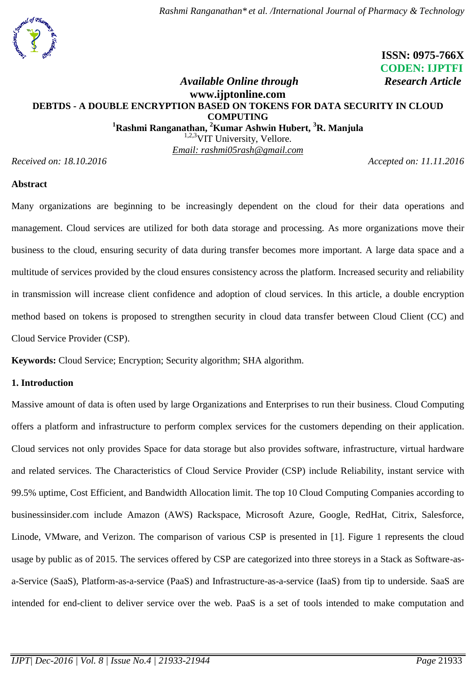

# **ISSN: 0975-766X CODEN: IJPTFI** *Available Online through* **Research Article**

# **www.ijptonline.com DEBTDS - A DOUBLE ENCRYPTION BASED ON TOKENS FOR DATA SECURITY IN CLOUD COMPUTING <sup>1</sup>Rashmi Ranganathan, <sup>2</sup>Kumar Ashwin Hubert, <sup>3</sup>R. Manjula**

<sup>1,2,3</sup>VIT University, Vellore. *Email: rashmi05rash@gmail.com*

*Received on: 18.10.2016 Accepted on: 11.11.2016*

## **Abstract**

Many organizations are beginning to be increasingly dependent on the cloud for their data operations and management. Cloud services are utilized for both data storage and processing. As more organizations move their business to the cloud, ensuring security of data during transfer becomes more important. A large data space and a multitude of services provided by the cloud ensures consistency across the platform. Increased security and reliability in transmission will increase client confidence and adoption of cloud services. In this article, a double encryption method based on tokens is proposed to strengthen security in cloud data transfer between Cloud Client (CC) and Cloud Service Provider (CSP).

**Keywords:** Cloud Service; Encryption; Security algorithm; SHA algorithm.

## **1. Introduction**

Massive amount of data is often used by large Organizations and Enterprises to run their business. Cloud Computing offers a platform and infrastructure to perform complex services for the customers depending on their application. Cloud services not only provides Space for data storage but also provides software, infrastructure, virtual hardware and related services. The Characteristics of Cloud Service Provider (CSP) include Reliability, instant service with 99.5% uptime, Cost Efficient, and Bandwidth Allocation limit. The top 10 Cloud Computing Companies according to businessinsider.com include Amazon (AWS) Rackspace, Microsoft Azure, Google, RedHat, Citrix, Salesforce, Linode, VMware, and Verizon. The comparison of various CSP is presented in [1]. Figure 1 represents the cloud usage by public as of 2015. The services offered by CSP are categorized into three storeys in a Stack as Software-asa-Service (SaaS), Platform-as-a-service (PaaS) and Infrastructure-as-a-service (IaaS) from tip to underside. SaaS are intended for end-client to deliver service over the web. PaaS is a set of tools intended to make computation and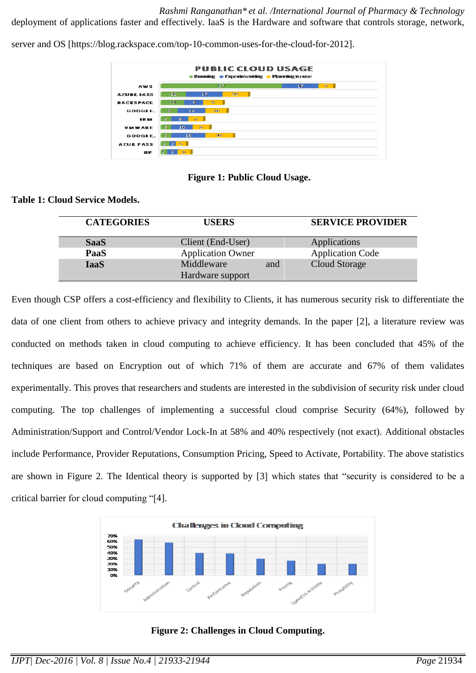*Rashmi Ranganathan\* et al. /International Journal of Pharmacy & Technology* deployment of applications faster and effectively. IaaS is the Hardware and software that controls storage, network,

server and OS [https://blog.rackspace.com/top-10-common-uses-for-the-cloud-for-2012].

| <b>Examing Experimenting Planning to use</b> |                          |                     |  |  |
|----------------------------------------------|--------------------------|---------------------|--|--|
| AWS.                                         | 57                       | $\mathcal{P}$<br>17 |  |  |
| <b>AZURE IASS</b>                            | 112.<br>12<br>17         |                     |  |  |
| <b><i>RACESPACE</i></b>                      | 90<br>11<br>9.           |                     |  |  |
| <b>GOOGLE</b>                                | 100<br>31<br>13          |                     |  |  |
| <b>TICKS</b>                                 | $\mathbb{Z}$<br>8.<br>5. |                     |  |  |
| <b>MINNOSEE</b>                              | 33<br>10<br>-51          |                     |  |  |
| <b>GOOGLE</b>                                | 18.<br>-51<br>16         |                     |  |  |
| <b>AZUR PASS</b>                             | $4$ 3 5                  |                     |  |  |
| na re                                        | 3556                     |                     |  |  |

#### **Figure 1: Public Cloud Usage.**

#### **Table 1: Cloud Service Models.**

| <b>CATEGORIES</b> | <b>USERS</b>                   |     | <b>SERVICE PROVIDER</b> |
|-------------------|--------------------------------|-----|-------------------------|
| <b>SaaS</b>       | Client (End-User)              |     | Applications            |
| PaaS              | <b>Application Owner</b>       |     | <b>Application Code</b> |
| <b>IaaS</b>       | Middleware<br>Hardware support | and | Cloud Storage           |

Even though CSP offers a cost-efficiency and flexibility to Clients, it has numerous security risk to differentiate the data of one client from others to achieve privacy and integrity demands. In the paper [2], a literature review was conducted on methods taken in cloud computing to achieve efficiency. It has been concluded that 45% of the techniques are based on Encryption out of which 71% of them are accurate and 67% of them validates experimentally. This proves that researchers and students are interested in the subdivision of security risk under cloud computing. The top challenges of implementing a successful cloud comprise Security (64%), followed by Administration/Support and Control/Vendor Lock-In at 58% and 40% respectively (not exact). Additional obstacles include Performance, Provider Reputations, Consumption Pricing, Speed to Activate, Portability. The above statistics are shown in Figure 2. The Identical theory is supported by [3] which states that "security is considered to be a critical barrier for cloud computing "[4].



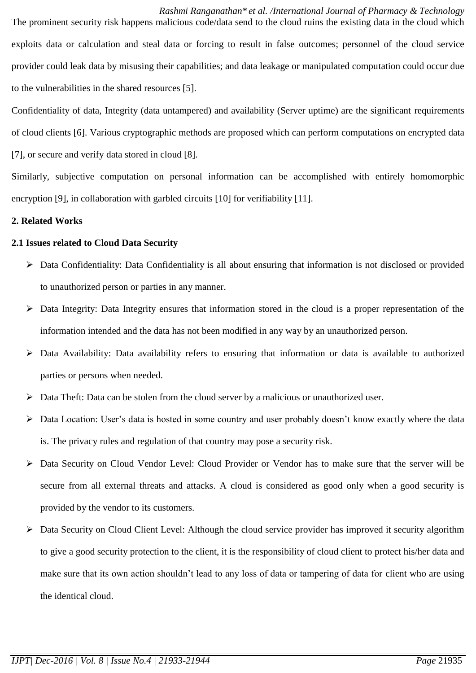*Rashmi Ranganathan\* et al. /International Journal of Pharmacy & Technology* The prominent security risk happens malicious code/data send to the cloud ruins the existing data in the cloud which exploits data or calculation and steal data or forcing to result in false outcomes; personnel of the cloud service provider could leak data by misusing their capabilities; and data leakage or manipulated computation could occur due to the vulnerabilities in the shared resources [5].

Confidentiality of data, Integrity (data untampered) and availability (Server uptime) are the significant requirements of cloud clients [6]. Various cryptographic methods are proposed which can perform computations on encrypted data [7], or secure and verify data stored in cloud [8].

Similarly, subjective computation on personal information can be accomplished with entirely homomorphic encryption [9], in collaboration with garbled circuits [10] for verifiability [11].

## **2. Related Works**

## **2.1 Issues related to Cloud Data Security**

- Data Confidentiality: Data Confidentiality is all about ensuring that information is not disclosed or provided to unauthorized person or parties in any manner.
- Data Integrity: Data Integrity ensures that information stored in the cloud is a proper representation of the information intended and the data has not been modified in any way by an unauthorized person.
- Data Availability: Data availability refers to ensuring that information or data is available to authorized parties or persons when needed.
- Data Theft: Data can be stolen from the cloud server by a malicious or unauthorized user.
- $\triangleright$  Data Location: User's data is hosted in some country and user probably doesn't know exactly where the data is. The privacy rules and regulation of that country may pose a security risk.
- Data Security on Cloud Vendor Level: Cloud Provider or Vendor has to make sure that the server will be secure from all external threats and attacks. A cloud is considered as good only when a good security is provided by the vendor to its customers.
- Data Security on Cloud Client Level: Although the cloud service provider has improved it security algorithm to give a good security protection to the client, it is the responsibility of cloud client to protect his/her data and make sure that its own action shouldn't lead to any loss of data or tampering of data for client who are using the identical cloud.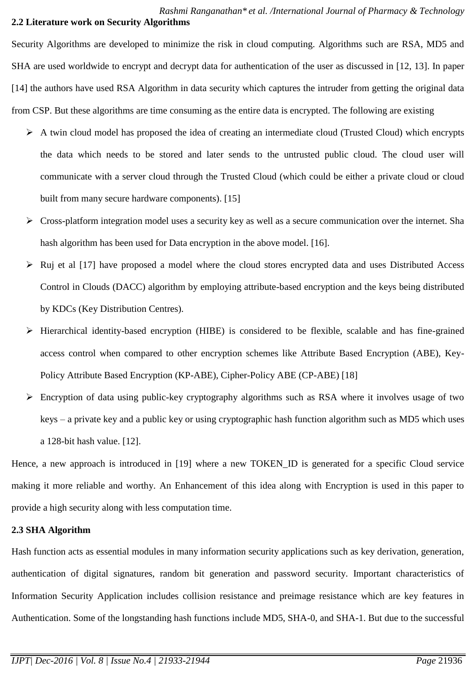## *Rashmi Ranganathan\* et al. /International Journal of Pharmacy & Technology* **2.2 Literature work on Security Algorithms**

Security Algorithms are developed to minimize the risk in cloud computing. Algorithms such are RSA, MD5 and SHA are used worldwide to encrypt and decrypt data for authentication of the user as discussed in [12, 13]. In paper [14] the authors have used RSA Algorithm in data security which captures the intruder from getting the original data from CSP. But these algorithms are time consuming as the entire data is encrypted. The following are existing

- $\triangleright$  A twin cloud model has proposed the idea of creating an intermediate cloud (Trusted Cloud) which encrypts the data which needs to be stored and later sends to the untrusted public cloud. The cloud user will communicate with a server cloud through the Trusted Cloud (which could be either a private cloud or cloud built from many secure hardware components). [15]
- $\triangleright$  Cross-platform integration model uses a security key as well as a secure communication over the internet. Sha hash algorithm has been used for Data encryption in the above model. [16].
- $\triangleright$  Ruj et al [17] have proposed a model where the cloud stores encrypted data and uses Distributed Access Control in Clouds (DACC) algorithm by employing attribute-based encryption and the keys being distributed by KDCs (Key Distribution Centres).
- $\triangleright$  Hierarchical identity-based encryption (HIBE) is considered to be flexible, scalable and has fine-grained access control when compared to other encryption schemes like Attribute Based Encryption (ABE), Key-Policy Attribute Based Encryption (KP-ABE), Cipher-Policy ABE (CP-ABE) [18]
- Encryption of data using public-key cryptography algorithms such as RSA where it involves usage of two keys – a private key and a public key or using cryptographic hash function algorithm such as MD5 which uses a 128-bit hash value. [12].

Hence, a new approach is introduced in [19] where a new TOKEN\_ID is generated for a specific Cloud service making it more reliable and worthy. An Enhancement of this idea along with Encryption is used in this paper to provide a high security along with less computation time.

## **2.3 SHA Algorithm**

Hash function acts as essential modules in many information security applications such as key derivation, generation, authentication of digital signatures, random bit generation and password security. Important characteristics of Information Security Application includes collision resistance and preimage resistance which are key features in Authentication. Some of the longstanding hash functions include MD5, SHA-0, and SHA-1. But due to the successful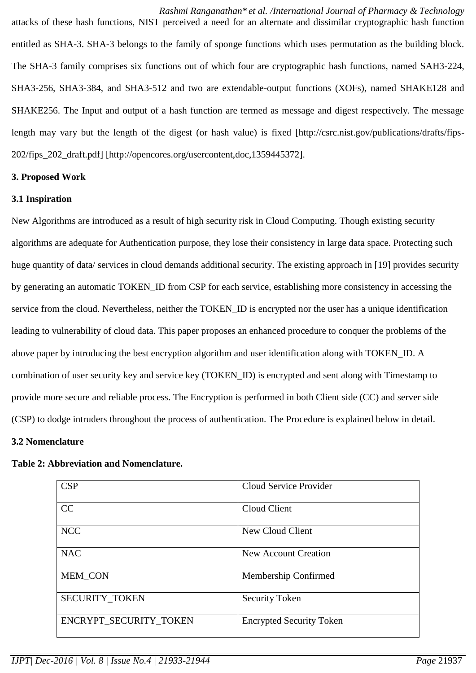*Rashmi Ranganathan\* et al. /International Journal of Pharmacy & Technology* attacks of these hash functions, NIST perceived a need for an alternate and dissimilar cryptographic hash function entitled as SHA-3. SHA-3 belongs to the family of sponge functions which uses permutation as the building block. The SHA-3 family comprises six functions out of which four are cryptographic hash functions, named SAH3-224, SHA3-256, SHA3-384, and SHA3-512 and two are extendable-output functions (XOFs), named SHAKE128 and SHAKE256. The Input and output of a hash function are termed as message and digest respectively. The message length may vary but the length of the digest (or hash value) is fixed [http://csrc.nist.gov/publications/drafts/fips-202/fips\_202\_draft.pdf] [http://opencores.org/usercontent,doc,1359445372].

#### **3. Proposed Work**

## **3.1 Inspiration**

New Algorithms are introduced as a result of high security risk in Cloud Computing. Though existing security algorithms are adequate for Authentication purpose, they lose their consistency in large data space. Protecting such huge quantity of data/ services in cloud demands additional security. The existing approach in [19] provides security by generating an automatic TOKEN\_ID from CSP for each service, establishing more consistency in accessing the service from the cloud. Nevertheless, neither the TOKEN\_ID is encrypted nor the user has a unique identification leading to vulnerability of cloud data. This paper proposes an enhanced procedure to conquer the problems of the above paper by introducing the best encryption algorithm and user identification along with TOKEN\_ID. A combination of user security key and service key (TOKEN\_ID) is encrypted and sent along with Timestamp to provide more secure and reliable process. The Encryption is performed in both Client side (CC) and server side (CSP) to dodge intruders throughout the process of authentication. The Procedure is explained below in detail.

#### **3.2 Nomenclature**

#### **Table 2: Abbreviation and Nomenclature.**

| CSP                    | Cloud Service Provider          |
|------------------------|---------------------------------|
| CC                     | Cloud Client                    |
| <b>NCC</b>             | New Cloud Client                |
| <b>NAC</b>             | <b>New Account Creation</b>     |
| <b>MEM CON</b>         | Membership Confirmed            |
| <b>SECURITY TOKEN</b>  | <b>Security Token</b>           |
| ENCRYPT SECURITY TOKEN | <b>Encrypted Security Token</b> |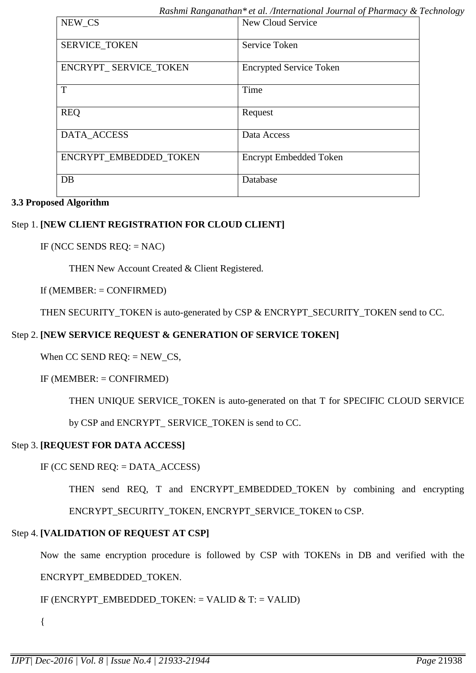| NEW_CS                 | New Cloud Service              |
|------------------------|--------------------------------|
| <b>SERVICE_TOKEN</b>   | Service Token                  |
| ENCRYPT_SERVICE_TOKEN  | <b>Encrypted Service Token</b> |
| T                      | Time                           |
| <b>REQ</b>             | Request                        |
| DATA_ACCESS            | Data Access                    |
| ENCRYPT EMBEDDED TOKEN | <b>Encrypt Embedded Token</b>  |
| DB                     | Database                       |

## **3.3 Proposed Algorithm**

## Step 1. **[NEW CLIENT REGISTRATION FOR CLOUD CLIENT]**

IF (NCC SENDS  $REQ$ : = NAC)

THEN New Account Created & Client Registered.

If  $(MEMBER: = CONFIRMED)$ 

THEN SECURITY\_TOKEN is auto-generated by CSP & ENCRYPT\_SECURITY\_TOKEN send to CC.

## Step 2. **[NEW SERVICE REQUEST & GENERATION OF SERVICE TOKEN]**

When CC SEND REQ:  $=$  NEW CS,

 $IF$  (MEMBER:  $=$  CONFIRMED)

THEN UNIQUE SERVICE\_TOKEN is auto-generated on that T for SPECIFIC CLOUD SERVICE

by CSP and ENCRYPT\_ SERVICE\_TOKEN is send to CC.

## Step 3. **[REQUEST FOR DATA ACCESS]**

IF (CC SEND REQ: = DATA\_ACCESS)

THEN send REQ, T and ENCRYPT EMBEDDED TOKEN by combining and encrypting

ENCRYPT\_SECURITY\_TOKEN, ENCRYPT\_SERVICE\_TOKEN to CSP.

# Step 4. **[VALIDATION OF REQUEST AT CSP]**

Now the same encryption procedure is followed by CSP with TOKENs in DB and verified with the

# ENCRYPT\_EMBEDDED\_TOKEN.

IF (ENCRYPT\_EMBEDDED\_TOKEN: = VALID & T: = VALID)

{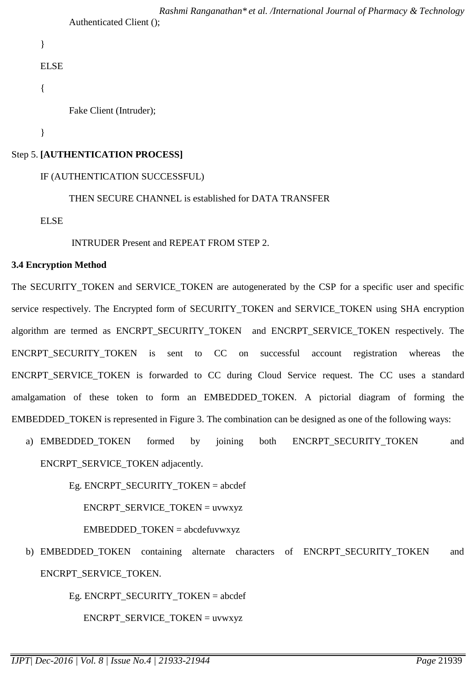```
Rashmi Ranganathan* et al. /International Journal of Pharmacy & Technology
Authenticated Client ();
```

```
}
```
ELSE

{

Fake Client (Intruder);

}

## Step 5. **[AUTHENTICATION PROCESS]**

## IF (AUTHENTICATION SUCCESSFUL)

THEN SECURE CHANNEL is established for DATA TRANSFER

ELSE

INTRUDER Present and REPEAT FROM STEP 2.

#### **3.4 Encryption Method**

The SECURITY\_TOKEN and SERVICE\_TOKEN are autogenerated by the CSP for a specific user and specific service respectively. The Encrypted form of SECURITY\_TOKEN and SERVICE\_TOKEN using SHA encryption algorithm are termed as ENCRPT SECURITY TOKEN and ENCRPT SERVICE TOKEN respectively. The ENCRPT SECURITY TOKEN is sent to CC on successful account registration whereas the ENCRPT SERVICE TOKEN is forwarded to CC during Cloud Service request. The CC uses a standard amalgamation of these token to form an EMBEDDED\_TOKEN. A pictorial diagram of forming the EMBEDDED TOKEN is represented in Figure 3. The combination can be designed as one of the following ways:

a) EMBEDDED TOKEN formed by joining both ENCRPT SECURITY TOKEN and ENCRPT\_SERVICE\_TOKEN adjacently.

Eg. ENCRPT\_SECURITY\_TOKEN = abcdef

ENCRPT\_SERVICE\_TOKEN = uvwxyz

 $EMBEDDED TOKEN = abcdefuvwxyz$ 

b) EMBEDDED\_TOKEN containing alternate characters of ENCRPT\_SECURITY\_TOKEN and ENCRPT\_SERVICE\_TOKEN.

Eg. ENCRPT\_SECURITY\_TOKEN = abcdef

ENCRPT\_SERVICE\_TOKEN = uvwxyz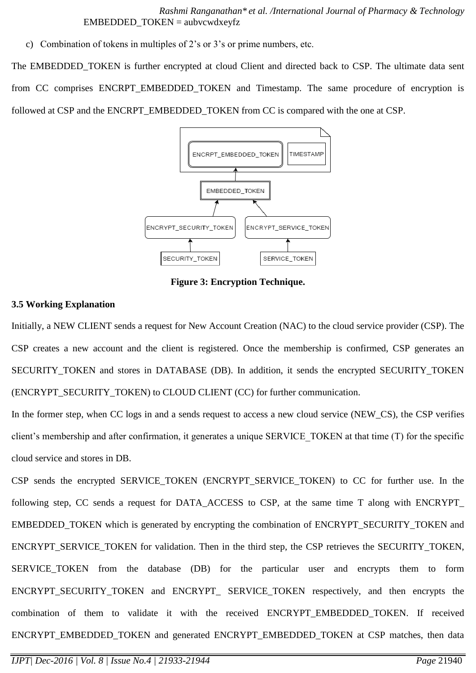*Rashmi Ranganathan\* et al. /International Journal of Pharmacy & Technology*  $EMBEDDED TOKEN = aubvcwdxeyfz$ 

c) Combination of tokens in multiples of 2's or 3's or prime numbers, etc.

The EMBEDDED TOKEN is further encrypted at cloud Client and directed back to CSP. The ultimate data sent from CC comprises ENCRPT\_EMBEDDED\_TOKEN and Timestamp. The same procedure of encryption is followed at CSP and the ENCRPT\_EMBEDDED\_TOKEN from CC is compared with the one at CSP.



**Figure 3: Encryption Technique.**

## **3.5 Working Explanation**

Initially, a NEW CLIENT sends a request for New Account Creation (NAC) to the cloud service provider (CSP). The CSP creates a new account and the client is registered. Once the membership is confirmed, CSP generates an SECURITY\_TOKEN and stores in DATABASE (DB). In addition, it sends the encrypted SECURITY\_TOKEN (ENCRYPT\_SECURITY\_TOKEN) to CLOUD CLIENT (CC) for further communication.

In the former step, when CC logs in and a sends request to access a new cloud service (NEW\_CS), the CSP verifies client's membership and after confirmation, it generates a unique SERVICE\_TOKEN at that time (T) for the specific cloud service and stores in DB.

CSP sends the encrypted SERVICE\_TOKEN (ENCRYPT\_SERVICE\_TOKEN) to CC for further use. In the following step, CC sends a request for DATA\_ACCESS to CSP, at the same time T along with ENCRYPT\_ EMBEDDED\_TOKEN which is generated by encrypting the combination of ENCRYPT\_SECURITY\_TOKEN and ENCRYPT\_SERVICE\_TOKEN for validation. Then in the third step, the CSP retrieves the SECURITY\_TOKEN, SERVICE\_TOKEN from the database (DB) for the particular user and encrypts them to form ENCRYPT SECURITY TOKEN and ENCRYPT SERVICE TOKEN respectively, and then encrypts the combination of them to validate it with the received ENCRYPT\_EMBEDDED\_TOKEN. If received ENCRYPT\_EMBEDDED\_TOKEN and generated ENCRYPT\_EMBEDDED\_TOKEN at CSP matches, then data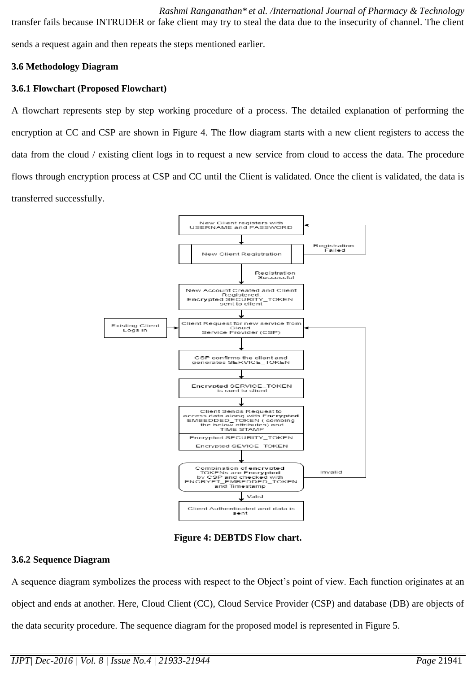*Rashmi Ranganathan\* et al. /International Journal of Pharmacy & Technology* transfer fails because INTRUDER or fake client may try to steal the data due to the insecurity of channel. The client sends a request again and then repeats the steps mentioned earlier.

## **3.6 Methodology Diagram**

## **3.6.1 Flowchart (Proposed Flowchart)**

A flowchart represents step by step working procedure of a process. The detailed explanation of performing the encryption at CC and CSP are shown in Figure 4. The flow diagram starts with a new client registers to access the data from the cloud / existing client logs in to request a new service from cloud to access the data. The procedure flows through encryption process at CSP and CC until the Client is validated. Once the client is validated, the data is transferred successfully.



**Figure 4: DEBTDS Flow chart.**

## **3.6.2 Sequence Diagram**

A sequence diagram symbolizes the process with respect to the Object's point of view. Each function originates at an object and ends at another. Here, Cloud Client (CC), Cloud Service Provider (CSP) and database (DB) are objects of the data security procedure. The sequence diagram for the proposed model is represented in Figure 5.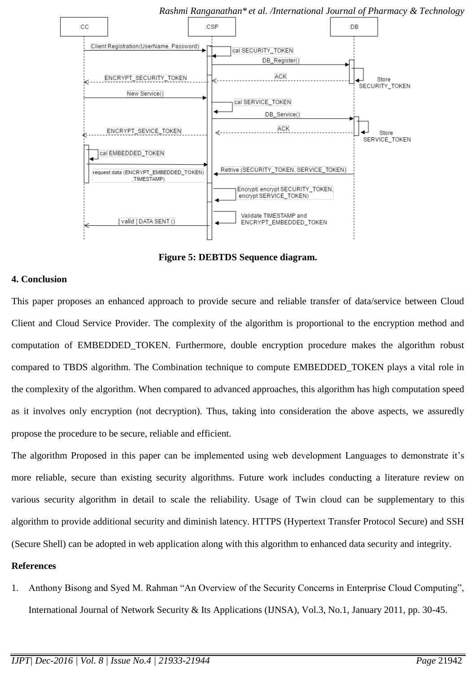

*Rashmi Ranganathan\* et al. /International Journal of Pharmacy & Technology*

**Figure 5: DEBTDS Sequence diagram.**

#### **4. Conclusion**

This paper proposes an enhanced approach to provide secure and reliable transfer of data/service between Cloud Client and Cloud Service Provider. The complexity of the algorithm is proportional to the encryption method and computation of EMBEDDED TOKEN. Furthermore, double encryption procedure makes the algorithm robust compared to TBDS algorithm. The Combination technique to compute EMBEDDED\_TOKEN plays a vital role in the complexity of the algorithm. When compared to advanced approaches, this algorithm has high computation speed as it involves only encryption (not decryption). Thus, taking into consideration the above aspects, we assuredly propose the procedure to be secure, reliable and efficient.

The algorithm Proposed in this paper can be implemented using web development Languages to demonstrate it's more reliable, secure than existing security algorithms. Future work includes conducting a literature review on various security algorithm in detail to scale the reliability. Usage of Twin cloud can be supplementary to this algorithm to provide additional security and diminish latency. HTTPS (Hypertext Transfer Protocol Secure) and SSH (Secure Shell) can be adopted in web application along with this algorithm to enhanced data security and integrity.

#### **References**

1. Anthony Bisong and Syed M. Rahman "An Overview of the Security Concerns in Enterprise Cloud Computing", International Journal of Network Security & Its Applications (IJNSA), Vol.3, No.1, January 2011, pp. 30-45.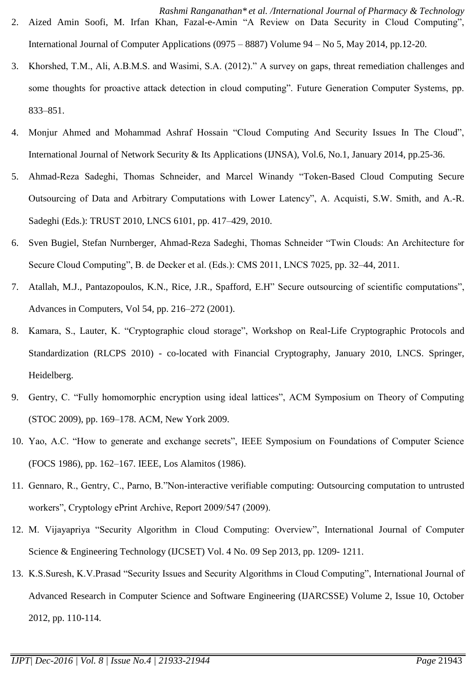- 3. Khorshed, T.M., Ali, A.B.M.S. and Wasimi, S.A. (2012)." A survey on gaps, threat remediation challenges and some thoughts for proactive attack detection in cloud computing". Future Generation Computer Systems, pp. 833–851.
- 4. Monjur Ahmed and Mohammad Ashraf Hossain "Cloud Computing And Security Issues In The Cloud", International Journal of Network Security & Its Applications (IJNSA), Vol.6, No.1, January 2014, pp.25-36.
- 5. Ahmad-Reza Sadeghi, Thomas Schneider, and Marcel Winandy "Token-Based Cloud Computing Secure Outsourcing of Data and Arbitrary Computations with Lower Latency", A. Acquisti, S.W. Smith, and A.-R. Sadeghi (Eds.): TRUST 2010, LNCS 6101, pp. 417–429, 2010.
- 6. Sven Bugiel, Stefan Nurnberger, Ahmad-Reza Sadeghi, Thomas Schneider "Twin Clouds: An Architecture for Secure Cloud Computing", B. de Decker et al. (Eds.): CMS 2011, LNCS 7025, pp. 32–44, 2011.
- 7. Atallah, M.J., Pantazopoulos, K.N., Rice, J.R., Spafford, E.H" Secure outsourcing of scientific computations", Advances in Computers, Vol 54, pp. 216–272 (2001).
- 8. Kamara, S., Lauter, K. "Cryptographic cloud storage", Workshop on Real-Life Cryptographic Protocols and Standardization (RLCPS 2010) - co-located with Financial Cryptography, January 2010, LNCS. Springer, Heidelberg.
- 9. Gentry, C. "Fully homomorphic encryption using ideal lattices", ACM Symposium on Theory of Computing (STOC 2009), pp. 169–178. ACM, New York 2009.
- 10. Yao, A.C. "How to generate and exchange secrets", IEEE Symposium on Foundations of Computer Science (FOCS 1986), pp. 162–167. IEEE, Los Alamitos (1986).
- 11. Gennaro, R., Gentry, C., Parno, B."Non-interactive verifiable computing: Outsourcing computation to untrusted workers", Cryptology ePrint Archive, Report 2009/547 (2009).
- 12. M. Vijayapriya "Security Algorithm in Cloud Computing: Overview", International Journal of Computer Science & Engineering Technology (IJCSET) Vol. 4 No. 09 Sep 2013, pp. 1209- 1211.
- 13. K.S.Suresh, K.V.Prasad "Security Issues and Security Algorithms in Cloud Computing", International Journal of Advanced Research in Computer Science and Software Engineering (IJARCSSE) Volume 2, Issue 10, October 2012, pp. 110-114.